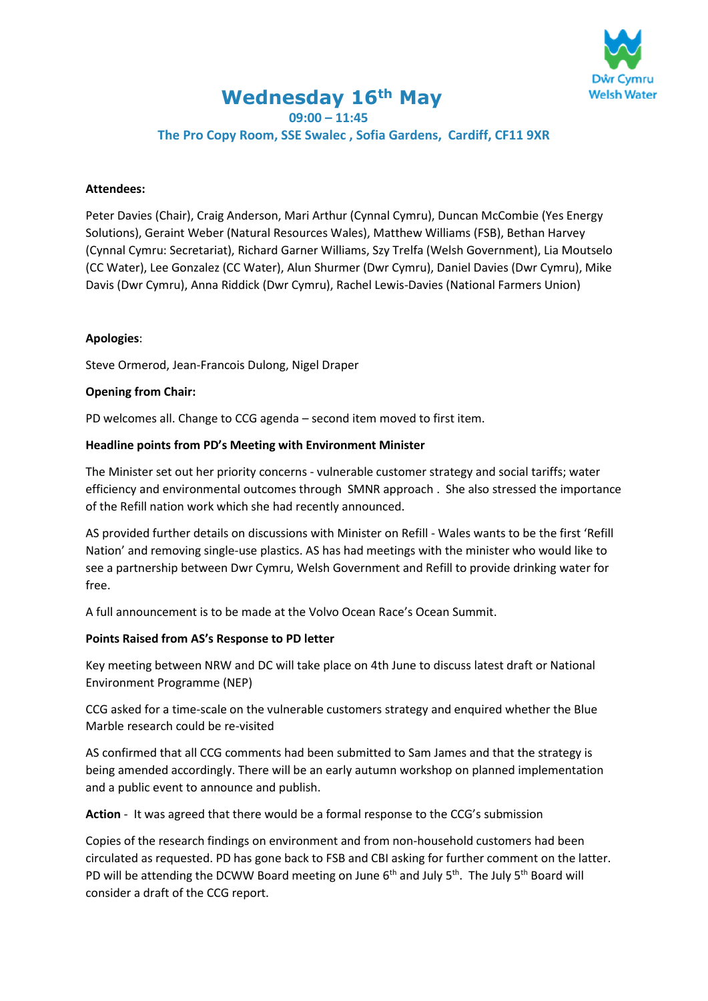

# **Wednesday 16th May 09:00 – 11:45**

**The Pro Copy Room, SSE Swalec , Sofia Gardens, Cardiff, CF11 9XR**

## **Attendees:**

Peter Davies (Chair), Craig Anderson, Mari Arthur (Cynnal Cymru), Duncan McCombie (Yes Energy Solutions), Geraint Weber (Natural Resources Wales), Matthew Williams (FSB), Bethan Harvey (Cynnal Cymru: Secretariat), Richard Garner Williams, Szy Trelfa (Welsh Government), Lia Moutselo (CC Water), Lee Gonzalez (CC Water), Alun Shurmer (Dwr Cymru), Daniel Davies (Dwr Cymru), Mike Davis (Dwr Cymru), Anna Riddick (Dwr Cymru), Rachel Lewis-Davies (National Farmers Union)

## **Apologies**:

Steve Ormerod, Jean-Francois Dulong, Nigel Draper

## **Opening from Chair:**

PD welcomes all. Change to CCG agenda – second item moved to first item.

## **Headline points from PD's Meeting with Environment Minister**

The Minister set out her priority concerns - vulnerable customer strategy and social tariffs; water efficiency and environmental outcomes through SMNR approach . She also stressed the importance of the Refill nation work which she had recently announced.

AS provided further details on discussions with Minister on Refill - Wales wants to be the first 'Refill Nation' and removing single-use plastics. AS has had meetings with the minister who would like to see a partnership between Dwr Cymru, Welsh Government and Refill to provide drinking water for free.

A full announcement is to be made at the Volvo Ocean Race's Ocean Summit.

#### **Points Raised from AS's Response to PD letter**

Key meeting between NRW and DC will take place on 4th June to discuss latest draft or National Environment Programme (NEP)

CCG asked for a time-scale on the vulnerable customers strategy and enquired whether the Blue Marble research could be re-visited

AS confirmed that all CCG comments had been submitted to Sam James and that the strategy is being amended accordingly. There will be an early autumn workshop on planned implementation and a public event to announce and publish.

**Action** - It was agreed that there would be a formal response to the CCG's submission

Copies of the research findings on environment and from non-household customers had been circulated as requested. PD has gone back to FSB and CBI asking for further comment on the latter. PD will be attending the DCWW Board meeting on June  $6<sup>th</sup>$  and July  $5<sup>th</sup>$ . The July  $5<sup>th</sup>$  Board will consider a draft of the CCG report.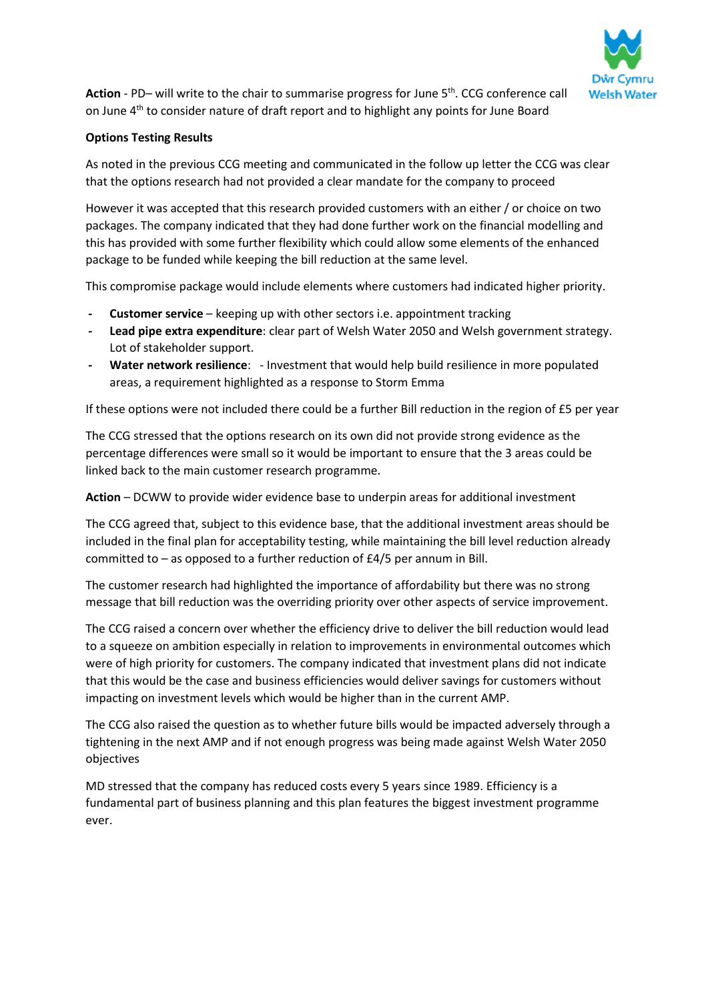

Action - PD- will write to the chair to summarise progress for June 5<sup>th</sup>. CCG conference call on June 4<sup>th</sup> to consider nature of draft report and to highlight any points for June Board

# **Options Testing Results**

As noted in the previous CCG meeting and communicated in the follow up letter the CCG was clear that the options research had not provided a clear mandate for the company to proceed

However it was accepted that this research provided customers with an either / or choice on two packages. The company indicated that they had done further work on the financial modelling and this has provided with some further flexibility which could allow some elements of the enhanced package to be funded while keeping the bill reduction at the same level.

This compromise package would include elements where customers had indicated higher priority.

- **- Customer service** keeping up with other sectors i.e. appointment tracking
- **- Lead pipe extra expenditure**: clear part of Welsh Water 2050 and Welsh government strategy. Lot of stakeholder support.
- **- Water network resilience**: Investment that would help build resilience in more populated areas, a requirement highlighted as a response to Storm Emma

If these options were not included there could be a further Bill reduction in the region of £5 per year

The CCG stressed that the options research on its own did not provide strong evidence as the percentage differences were small so it would be important to ensure that the 3 areas could be linked back to the main customer research programme.

**Action** – DCWW to provide wider evidence base to underpin areas for additional investment

The CCG agreed that, subject to this evidence base, that the additional investment areas should be included in the final plan for acceptability testing, while maintaining the bill level reduction already committed to – as opposed to a further reduction of £4/5 per annum in Bill.

The customer research had highlighted the importance of affordability but there was no strong message that bill reduction was the overriding priority over other aspects of service improvement.

The CCG raised a concern over whether the efficiency drive to deliver the bill reduction would lead to a squeeze on ambition especially in relation to improvements in environmental outcomes which were of high priority for customers. The company indicated that investment plans did not indicate that this would be the case and business efficiencies would deliver savings for customers without impacting on investment levels which would be higher than in the current AMP.

The CCG also raised the question as to whether future bills would be impacted adversely through a tightening in the next AMP and if not enough progress was being made against Welsh Water 2050 objectives

MD stressed that the company has reduced costs every 5 years since 1989. Efficiency is a fundamental part of business planning and this plan features the biggest investment programme ever.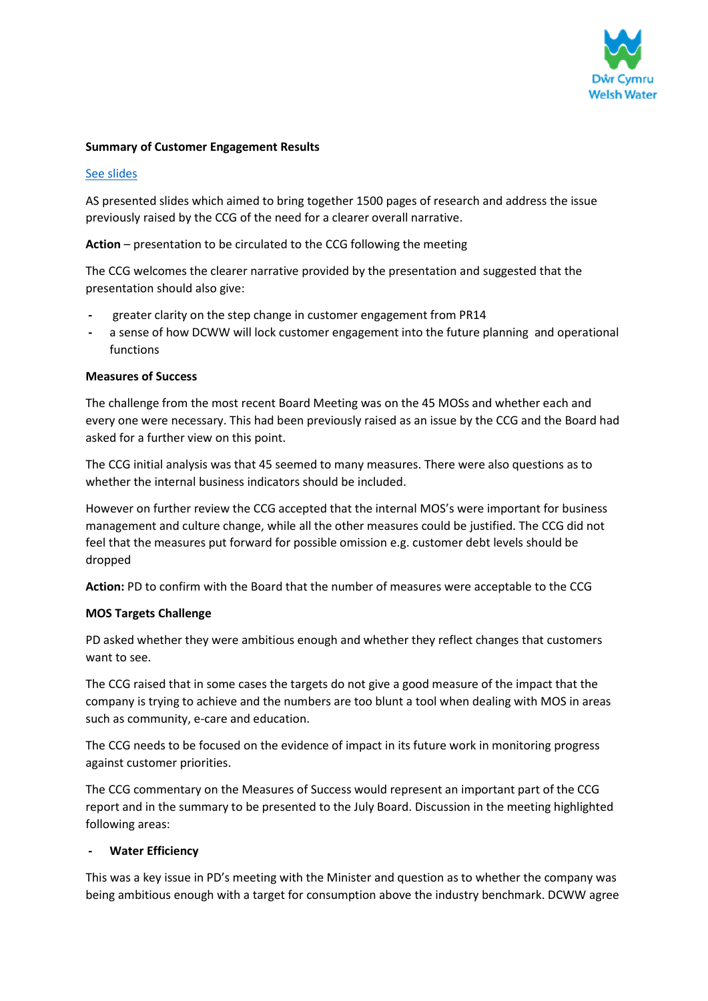

## **Summary of Customer Engagement Results**

## [See slides](https://trello.com/c/LwSkeEgY/41-may-16th-2018-am-ccg-odis-targets-acceptability-sign-off-pm-water-forum)

AS presented slides which aimed to bring together 1500 pages of research and address the issue previously raised by the CCG of the need for a clearer overall narrative.

**Action** – presentation to be circulated to the CCG following the meeting

The CCG welcomes the clearer narrative provided by the presentation and suggested that the presentation should also give:

- **-** greater clarity on the step change in customer engagement from PR14
- **-** a sense of how DCWW will lock customer engagement into the future planning and operational functions

#### **Measures of Success**

The challenge from the most recent Board Meeting was on the 45 MOSs and whether each and every one were necessary. This had been previously raised as an issue by the CCG and the Board had asked for a further view on this point.

The CCG initial analysis was that 45 seemed to many measures. There were also questions as to whether the internal business indicators should be included.

However on further review the CCG accepted that the internal MOS's were important for business management and culture change, while all the other measures could be justified. The CCG did not feel that the measures put forward for possible omission e.g. customer debt levels should be dropped

**Action:** PD to confirm with the Board that the number of measures were acceptable to the CCG

#### **MOS Targets Challenge**

PD asked whether they were ambitious enough and whether they reflect changes that customers want to see.

The CCG raised that in some cases the targets do not give a good measure of the impact that the company is trying to achieve and the numbers are too blunt a tool when dealing with MOS in areas such as community, e-care and education.

The CCG needs to be focused on the evidence of impact in its future work in monitoring progress against customer priorities.

The CCG commentary on the Measures of Success would represent an important part of the CCG report and in the summary to be presented to the July Board. Discussion in the meeting highlighted following areas:

#### **- Water Efficiency**

This was a key issue in PD's meeting with the Minister and question as to whether the company was being ambitious enough with a target for consumption above the industry benchmark. DCWW agree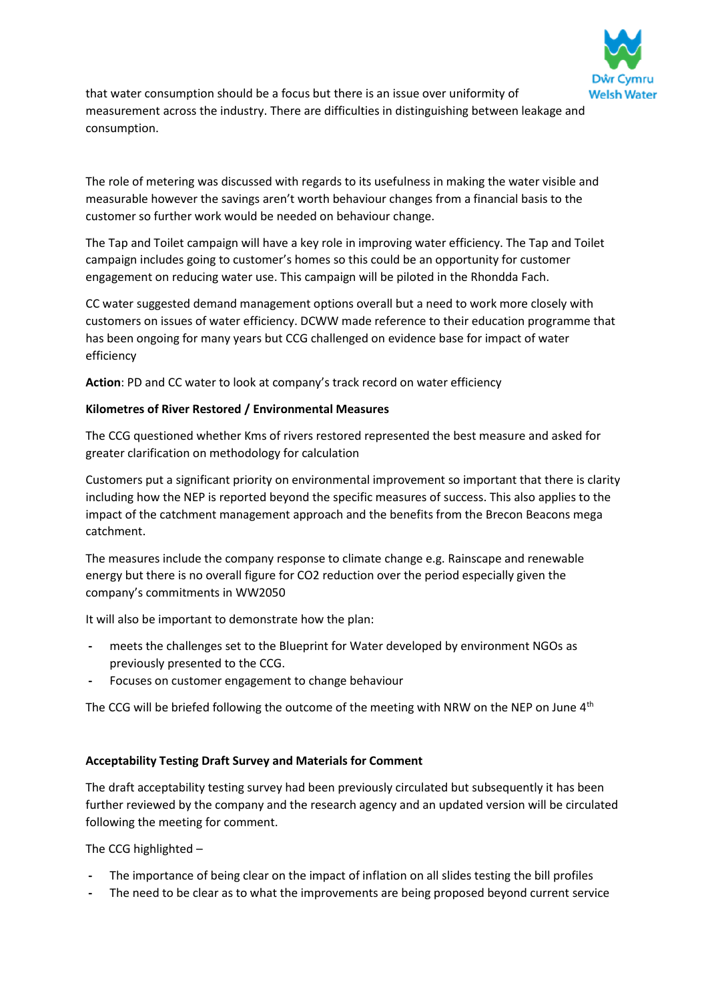

that water consumption should be a focus but there is an issue over uniformity of measurement across the industry. There are difficulties in distinguishing between leakage and consumption.

The role of metering was discussed with regards to its usefulness in making the water visible and measurable however the savings aren't worth behaviour changes from a financial basis to the customer so further work would be needed on behaviour change.

The Tap and Toilet campaign will have a key role in improving water efficiency. The Tap and Toilet campaign includes going to customer's homes so this could be an opportunity for customer engagement on reducing water use. This campaign will be piloted in the Rhondda Fach.

CC water suggested demand management options overall but a need to work more closely with customers on issues of water efficiency. DCWW made reference to their education programme that has been ongoing for many years but CCG challenged on evidence base for impact of water efficiency

**Action**: PD and CC water to look at company's track record on water efficiency

## **Kilometres of River Restored / Environmental Measures**

The CCG questioned whether Kms of rivers restored represented the best measure and asked for greater clarification on methodology for calculation

Customers put a significant priority on environmental improvement so important that there is clarity including how the NEP is reported beyond the specific measures of success. This also applies to the impact of the catchment management approach and the benefits from the Brecon Beacons mega catchment.

The measures include the company response to climate change e.g. Rainscape and renewable energy but there is no overall figure for CO2 reduction over the period especially given the company's commitments in WW2050

It will also be important to demonstrate how the plan:

- **-** meets the challenges set to the Blueprint for Water developed by environment NGOs as previously presented to the CCG.
- **-** Focuses on customer engagement to change behaviour

The CCG will be briefed following the outcome of the meeting with NRW on the NEP on June  $4<sup>th</sup>$ 

# **Acceptability Testing Draft Survey and Materials for Comment**

The draft acceptability testing survey had been previously circulated but subsequently it has been further reviewed by the company and the research agency and an updated version will be circulated following the meeting for comment.

The CCG highlighted –

- **-** The importance of being clear on the impact of inflation on all slides testing the bill profiles
- **-** The need to be clear as to what the improvements are being proposed beyond current service